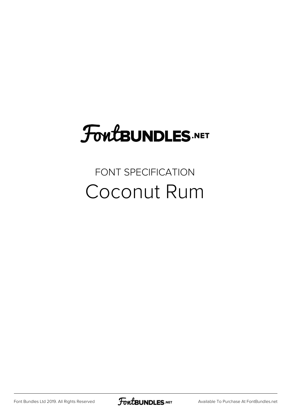# FoutBUNDLES.NET

# FONT SPECIFICATION Coconut Rum

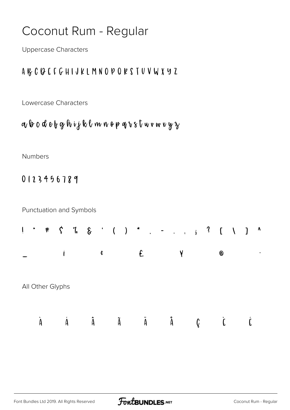## Coconut Rum - Regular

**Uppercase Characters** 

#### A & C Q E F G H I J K L M N O P Q K S T U V W X Y Z

Lowercase Characters

### a b c d e b g h i j k l m n o p q r s t w r w x y z

Numbers

0123456789

Punctuation and Symbols

| $\pmb{u}$ | $\pmb{\ast}$ | $\zeta$          | $\begin{array}{ccccccccccccccccccccc} \gamma_0 & \xi & \cdot & \cdot & \cdot & \cdot & \cdot & \cdot & \cdot & \cdot & \cdot & \cdot & \gamma & \cdot & \zeta \\ \end{array}$ |              |   |   |                          |   |   |   |                           | $\setminus$ | $\Lambda$ |
|-----------|--------------|------------------|-------------------------------------------------------------------------------------------------------------------------------------------------------------------------------|--------------|---|---|--------------------------|---|---|---|---------------------------|-------------|-----------|
|           |              |                  |                                                                                                                                                                               | $\mathbf{c}$ |   | £ |                          |   | ¥ |   | $\odot$                   |             |           |
|           |              | All Other Glyphs |                                                                                                                                                                               |              |   |   |                          |   |   |   |                           |             |           |
| A         |              | A                | Â                                                                                                                                                                             |              | Ã |   | $\pmb{\mathtt{\hat{A}}}$ | Å |   | Ç | $\overline{\mathfrak{l}}$ |             |           |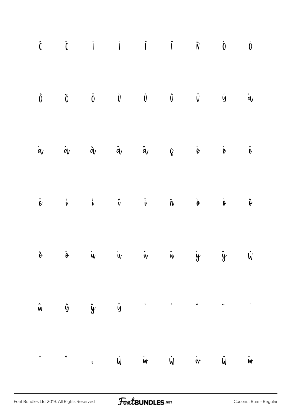| $\hat{\mathbf{L}}\qquad \  \  \, \ddot{\mathbf{L}}\qquad \qquad \dot{\mathbf{I}}\qquad \qquad \dot{\mathbf{I}}\qquad \qquad \mathbf{\ddot{\mathbf{I}}}\qquad \qquad \mathbf{\ddot{\mathbf{N}}}\qquad \qquad \dot{\mathbf{0}}\qquad \qquad \dot{\mathbf{0}}$                                                                                                                                                                    |  |  |  |  |
|--------------------------------------------------------------------------------------------------------------------------------------------------------------------------------------------------------------------------------------------------------------------------------------------------------------------------------------------------------------------------------------------------------------------------------|--|--|--|--|
| $\begin{matrix} \hat{0} && \tilde{0} && \tilde{0} && \tilde{0} && \tilde{0} && \tilde{0} && \tilde{0} && \tilde{0} && \tilde{0} && \tilde{0} && \tilde{0} && \tilde{0} && \tilde{0} && \tilde{0} && \tilde{0} && \tilde{0} && \tilde{0} && \tilde{0} && \tilde{0} && \tilde{0} && \tilde{0} && \tilde{0} && \tilde{0} && \tilde{0} && \tilde{0} && \tilde{0} && \tilde{0} && \tilde{0} && \tilde{0} && \tilde{0} && \tilde{0}$ |  |  |  |  |
| $\dot{q}$ and $\dot{q}$ and $\dot{q}$ and $\dot{q}$ and $\dot{q}$ and $\dot{q}$ and $\dot{q}$                                                                                                                                                                                                                                                                                                                                  |  |  |  |  |
| $\ddot{\theta}$ i i i i $\ddot{\theta}$ i $\ddot{\theta}$ i $\ddot{\theta}$                                                                                                                                                                                                                                                                                                                                                    |  |  |  |  |
| õ ö in in în in in in in î                                                                                                                                                                                                                                                                                                                                                                                                     |  |  |  |  |
| $\hat{\mathsf{w}}$ $\hat{\mathsf{y}}$ $\hat{\mathsf{y}}$ $\hat{\mathsf{y}}$ $\hat{\mathsf{y}}$ $\hat{\mathsf{y}}$ $\hat{\mathsf{y}}$ $\hat{\mathsf{y}}$                                                                                                                                                                                                                                                                        |  |  |  |  |
|                                                                                                                                                                                                                                                                                                                                                                                                                                |  |  |  |  |